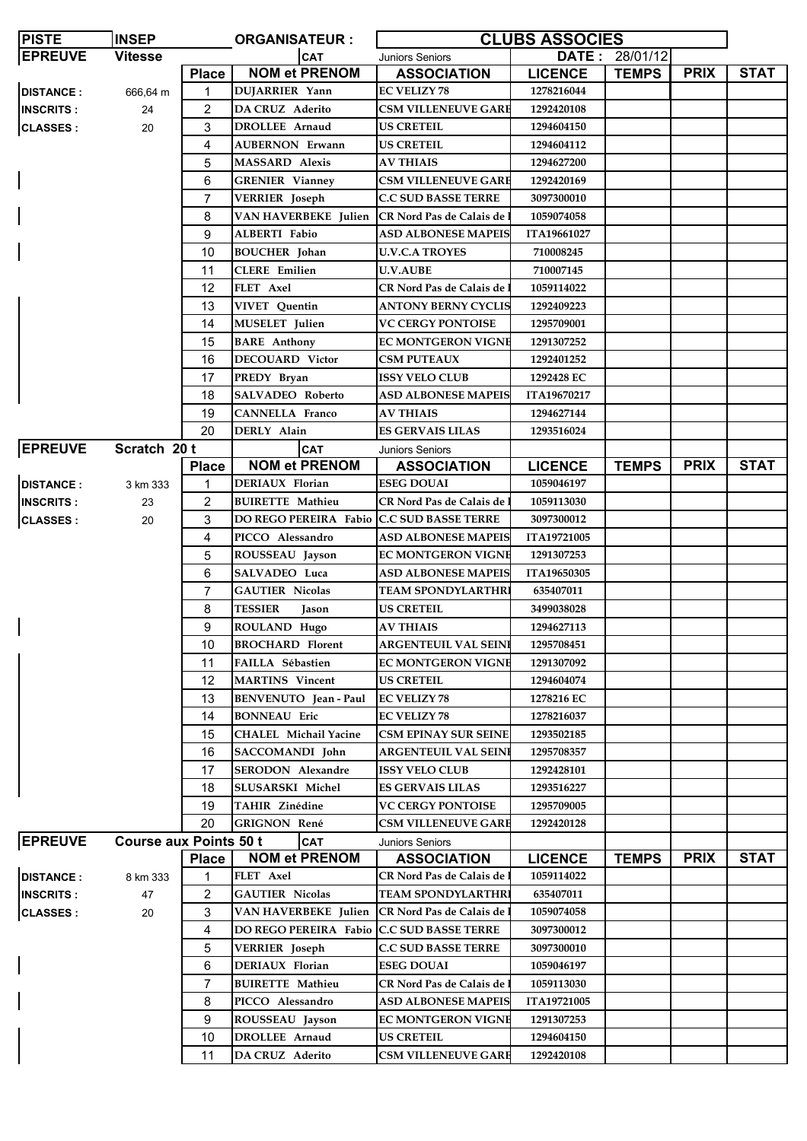| <b>PISTE</b>     | <b>INSEP</b>                  | <b>CLUBS ASSOCIES</b><br><b>ORGANISATEUR:</b> |                                           |                                   |                    |                       |             |             |
|------------------|-------------------------------|-----------------------------------------------|-------------------------------------------|-----------------------------------|--------------------|-----------------------|-------------|-------------|
| <b>EPREUVE</b>   | <b>Vitesse</b>                |                                               | <b>CAT</b>                                | <b>Juniors Seniors</b>            |                    | <b>DATE: 28/01/12</b> |             |             |
|                  |                               | <b>Place</b>                                  | <b>NOM et PRENOM</b>                      | <b>ASSOCIATION</b>                | <b>LICENCE</b>     | <b>TEMPS</b>          | <b>PRIX</b> | <b>STAT</b> |
| <b>DISTANCE:</b> | 666,64 m                      | 1                                             | <b>DUJARRIER Yann</b>                     | <b>EC VELIZY 78</b>               | 1278216044         |                       |             |             |
| <b>INSCRITS:</b> | 24                            | $\overline{c}$                                | <b>DA CRUZ Aderito</b>                    | <b>CSM VILLENEUVE GARE</b>        | 1292420108         |                       |             |             |
| <b>CLASSES:</b>  | 20                            | 3                                             | DROLLEE Arnaud                            | <b>US CRETEIL</b>                 | 1294604150         |                       |             |             |
|                  |                               | 4                                             | <b>AUBERNON Erwann</b>                    | <b>US CRETEIL</b>                 | 1294604112         |                       |             |             |
|                  |                               | 5                                             | <b>MASSARD Alexis</b>                     | <b>AV THIAIS</b>                  | 1294627200         |                       |             |             |
|                  |                               | 6                                             | <b>GRENIER Vianney</b>                    | <b>CSM VILLENEUVE GARE</b>        | 1292420169         |                       |             |             |
|                  |                               | 7                                             | <b>VERRIER</b> Joseph                     | <b>C.C SUD BASSE TERRE</b>        | 3097300010         |                       |             |             |
|                  |                               | 8                                             | VAN HAVERBEKE Julien                      | CR Nord Pas de Calais de l        | 1059074058         |                       |             |             |
|                  |                               | 9                                             | ALBERTI Fabio                             | ASD ALBONESE MAPEIS               | <b>ITA19661027</b> |                       |             |             |
|                  |                               | 10                                            | <b>BOUCHER</b> Johan                      | <b>U.V.C.A TROYES</b>             | 710008245          |                       |             |             |
|                  |                               | 11                                            | <b>CLERE</b> Emilien                      | <b>U.V.AUBE</b>                   | 710007145          |                       |             |             |
|                  |                               | 12                                            | FLET Axel                                 | CR Nord Pas de Calais de          | 1059114022         |                       |             |             |
|                  |                               | 13                                            | <b>VIVET</b> Quentin                      | <b>ANTONY BERNY CYCLIS</b>        | 1292409223         |                       |             |             |
|                  |                               | 14                                            | <b>MUSELET</b> Julien                     | <b>VC CERGY PONTOISE</b>          | 1295709001         |                       |             |             |
|                  |                               | 15                                            | <b>BARE</b> Anthony                       | <b>EC MONTGERON VIGNE</b>         | 1291307252         |                       |             |             |
|                  |                               | 16                                            | <b>DECOUARD Victor</b>                    | <b>CSM PUTEAUX</b>                | 1292401252         |                       |             |             |
|                  |                               | 17                                            | PREDY Bryan                               | <b>ISSY VELO CLUB</b>             | 1292428 EC         |                       |             |             |
|                  |                               | 18                                            | <b>SALVADEO Roberto</b>                   | <b>ASD ALBONESE MAPEIS</b>        | ITA19670217        |                       |             |             |
|                  |                               | 19                                            | <b>CANNELLA Franco</b>                    | <b>AV THIAIS</b>                  | 1294627144         |                       |             |             |
|                  |                               | 20                                            | DERLY Alain                               | <b>ES GERVAIS LILAS</b>           | 1293516024         |                       |             |             |
| <b>EPREUVE</b>   | Scratch 20 t                  |                                               | <b>CAT</b>                                | <b>Juniors Seniors</b>            |                    |                       |             |             |
|                  |                               | <b>Place</b>                                  | <b>NOM et PRENOM</b>                      | <b>ASSOCIATION</b>                | <b>LICENCE</b>     | <b>TEMPS</b>          | <b>PRIX</b> | <b>STAT</b> |
| <b>DISTANCE:</b> | 3 km 333                      | 1                                             | DERIAUX Florian                           | <b>ESEG DOUAI</b>                 | 1059046197         |                       |             |             |
| <b>INSCRITS:</b> | 23                            | 2                                             | <b>BUIRETTE Mathieu</b>                   | CR Nord Pas de Calais de          | 1059113030         |                       |             |             |
| <b>CLASSES:</b>  | 20                            | 3                                             | <b>DO REGO PEREIRA Fabio</b>              | <b>C.C SUD BASSE TERRE</b>        | 3097300012         |                       |             |             |
|                  |                               | 4                                             | PICCO Alessandro                          | <b>ASD ALBONESE MAPEIS</b>        | <b>ITA19721005</b> |                       |             |             |
|                  |                               | 5                                             | ROUSSEAU Jayson                           | <b>EC MONTGERON VIGNE</b>         | 1291307253         |                       |             |             |
|                  |                               | 6                                             | SALVADEO Luca                             | <b>ASD ALBONESE MAPEIS</b>        | ITA19650305        |                       |             |             |
|                  |                               | $\overline{7}$                                | <b>GAUTIER Nicolas</b>                    | <b>TEAM SPONDYLARTHR</b>          | 635407011          |                       |             |             |
|                  |                               | 8                                             | <b>TESSIER</b><br>Jason                   | <b>US CRETEIL</b>                 | 3499038028         |                       |             |             |
|                  |                               | 9                                             | ROULAND Hugo                              | AV THIAIS                         | 1294627113         |                       |             |             |
|                  |                               | 10                                            | <b>BROCHARD Florent</b>                   | <b>ARGENTEUIL VAL SEINI</b>       | 1295708451         |                       |             |             |
|                  |                               | 11                                            | FAILLA Sébastien                          | <b>EC MONTGERON VIGNE</b>         | 1291307092         |                       |             |             |
|                  |                               | 12                                            | <b>MARTINS</b> Vincent                    | <b>US CRETEIL</b>                 | 1294604074         |                       |             |             |
|                  |                               | 13                                            | <b>BENVENUTO</b> Jean - Paul              | <b>EC VELIZY 78</b>               | 1278216 EC         |                       |             |             |
|                  |                               | 14                                            | <b>BONNEAU</b> Eric                       | <b>EC VELIZY 78</b>               | 1278216037         |                       |             |             |
|                  |                               | 15                                            | CHALEL Michail Yacine                     | <b>CSM EPINAY SUR SEINE</b>       | 1293502185         |                       |             |             |
|                  |                               | 16                                            | SACCOMANDI John                           | <b>ARGENTEUIL VAL SEINI</b>       | 1295708357         |                       |             |             |
|                  |                               | 17                                            | <b>SERODON</b> Alexandre                  | <b>ISSY VELO CLUB</b>             | 1292428101         |                       |             |             |
|                  |                               | 18                                            | SLUSARSKI Michel                          | <b>ES GERVAIS LILAS</b>           | 1293516227         |                       |             |             |
|                  |                               | 19                                            | TAHIR Zinédine                            | <b>VC CERGY PONTOISE</b>          | 1295709005         |                       |             |             |
|                  |                               | 20                                            | GRIGNON René                              | <b>CSM VILLENEUVE GARE</b>        | 1292420128         |                       |             |             |
| <b>EPREUVE</b>   | <b>Course aux Points 50 t</b> |                                               | <b>CAT</b>                                | <b>Juniors Seniors</b>            |                    |                       |             |             |
|                  |                               | <b>Place</b>                                  | <b>NOM et PRENOM</b>                      | <b>ASSOCIATION</b>                | <b>LICENCE</b>     | <b>TEMPS</b>          | <b>PRIX</b> | <b>STAT</b> |
| <b>DISTANCE:</b> | 8 km 333                      | 1                                             | FLET Axel                                 | <b>CR Nord Pas de Calais de :</b> | 1059114022         |                       |             |             |
| <b>INSCRITS:</b> | 47                            | 2                                             | <b>GAUTIER Nicolas</b>                    | TEAM SPONDYLARTHRI                | 635407011          |                       |             |             |
| <b>CLASSES:</b>  | 20                            | 3                                             | VAN HAVERBEKE Julien                      | CR Nord Pas de Calais de          | 1059074058         |                       |             |             |
|                  |                               | 4                                             | DO REGO PEREIRA Fabio C.C SUD BASSE TERRE |                                   | 3097300012         |                       |             |             |
|                  |                               | 5                                             | <b>VERRIER</b> Joseph                     | <b>C.C SUD BASSE TERRE</b>        | 3097300010         |                       |             |             |
|                  |                               | 6                                             | DERIAUX Florian                           | <b>ESEG DOUAI</b>                 | 1059046197         |                       |             |             |
|                  |                               | 7                                             | <b>BUIRETTE Mathieu</b>                   | <b>CR Nord Pas de Calais de :</b> | 1059113030         |                       |             |             |
|                  |                               | 8                                             | PICCO Alessandro                          | <b>ASD ALBONESE MAPEIS</b>        | ITA19721005        |                       |             |             |
|                  |                               | 9                                             | ROUSSEAU Jayson                           | <b>EC MONTGERON VIGNE</b>         | 1291307253         |                       |             |             |
|                  |                               | 10                                            | DROLLEE Arnaud                            | <b>US CRETEIL</b>                 | 1294604150         |                       |             |             |
|                  |                               | 11                                            | DA CRUZ Aderito                           | <b>CSM VILLENEUVE GARE</b>        | 1292420108         |                       |             |             |
|                  |                               |                                               |                                           |                                   |                    |                       |             |             |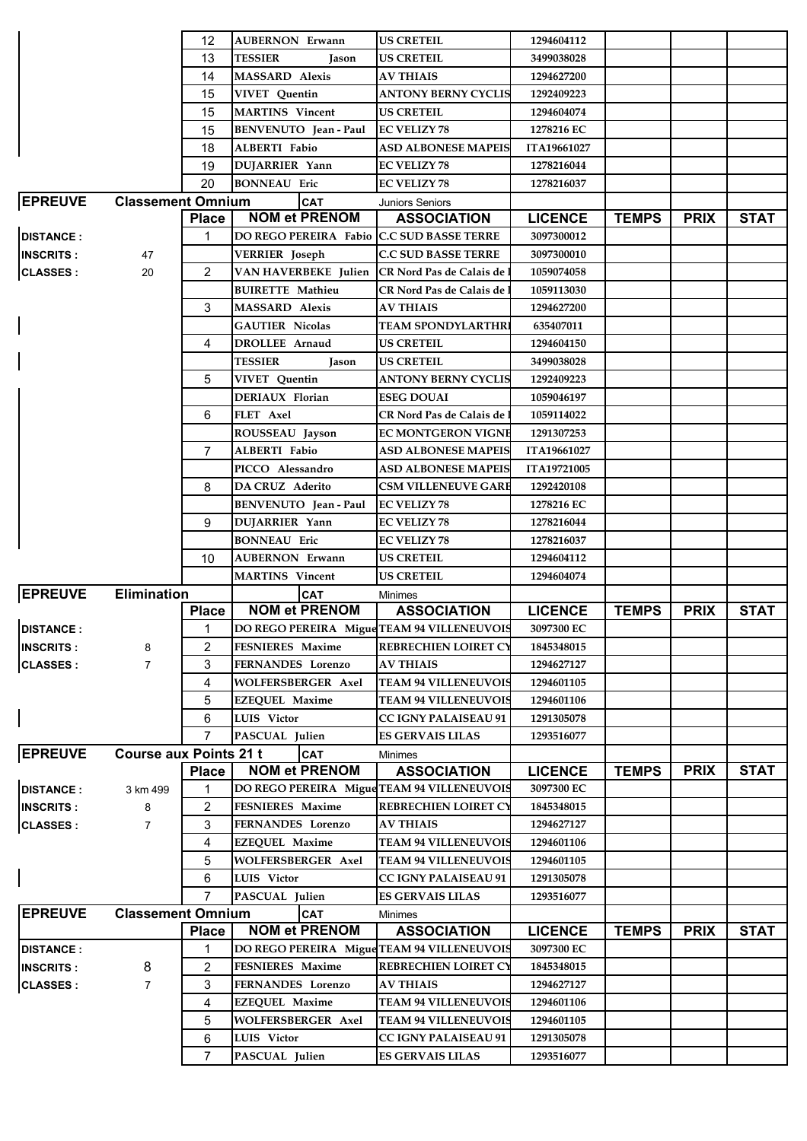|                  |                               | 12             | <b>AUBERNON Erwann</b>                     | <b>US CRETEIL</b>                 | 1294604112         |              |             |             |
|------------------|-------------------------------|----------------|--------------------------------------------|-----------------------------------|--------------------|--------------|-------------|-------------|
|                  |                               | 13             | <b>TESSIER</b><br><b>Jason</b>             | <b>US CRETEIL</b>                 | 3499038028         |              |             |             |
|                  |                               | 14             | <b>MASSARD Alexis</b>                      | <b>AV THIAIS</b>                  | 1294627200         |              |             |             |
|                  |                               | 15             | <b>VIVET</b> Quentin                       | ANTONY BERNY CYCLIS               | 1292409223         |              |             |             |
|                  |                               | 15             | <b>MARTINS</b> Vincent                     | US CRETEIL                        | 1294604074         |              |             |             |
|                  |                               | 15             | BENVENUTO Jean - Paul                      | <b>EC VELIZY 78</b>               | 1278216 EC         |              |             |             |
|                  |                               | 18             | <b>ALBERTI</b> Fabio                       | <b>ASD ALBONESE MAPEIS</b>        | ITA19661027        |              |             |             |
|                  |                               | 19             | DUJARRIER Yann                             | <b>EC VELIZY 78</b>               | 1278216044         |              |             |             |
|                  |                               | 20             | <b>BONNEAU Eric</b>                        | <b>EC VELIZY 78</b>               | 1278216037         |              |             |             |
| <b>EPREUVE</b>   | <b>Classement Omnium</b>      |                | <b>CAT</b>                                 | <b>Juniors Seniors</b>            |                    |              |             |             |
|                  |                               | <b>Place</b>   | <b>NOM et PRENOM</b>                       | <b>ASSOCIATION</b>                | <b>LICENCE</b>     | <b>TEMPS</b> | <b>PRIX</b> | <b>STAT</b> |
| <b>DISTANCE:</b> |                               | 1              | DO REGO PEREIRA Fabio C.C SUD BASSE TERRE  |                                   | 3097300012         |              |             |             |
| <b>INSCRITS:</b> | 47                            |                | <b>VERRIER</b> Joseph                      | <b>C.C SUD BASSE TERRE</b>        | 3097300010         |              |             |             |
| <b>CLASSES:</b>  | 20                            | $\overline{2}$ | VAN HAVERBEKE Julien                       | <b>CR Nord Pas de Calais de</b>   | 1059074058         |              |             |             |
|                  |                               |                | <b>BUIRETTE Mathieu</b>                    | <b>CR Nord Pas de Calais de 1</b> | 1059113030         |              |             |             |
|                  |                               | 3              | <b>MASSARD</b> Alexis                      | <b>AV THIAIS</b>                  | 1294627200         |              |             |             |
|                  |                               |                | <b>GAUTIER Nicolas</b>                     | TEAM SPONDYLARTHRI                | 635407011          |              |             |             |
|                  |                               | 4              | <b>DROLLEE Arnaud</b>                      | <b>US CRETEIL</b>                 | 1294604150         |              |             |             |
|                  |                               |                | <b>TESSIER</b><br>Jason                    | <b>US CRETEIL</b>                 | 3499038028         |              |             |             |
|                  |                               | 5              |                                            | ANTONY BERNY CYCLIS               | 1292409223         |              |             |             |
|                  |                               |                | VIVET Quentin<br>DERIAUX Florian           | <b>ESEG DOUAI</b>                 | 1059046197         |              |             |             |
|                  |                               |                |                                            |                                   |                    |              |             |             |
|                  |                               | 6              | FLET Axel                                  | CR Nord Pas de Calais de          | 1059114022         |              |             |             |
|                  |                               |                | ROUSSEAU Jayson                            | EC MONTGERON VIGNE                | 1291307253         |              |             |             |
|                  |                               | $\overline{7}$ | <b>ALBERTI</b> Fabio                       | <b>ASD ALBONESE MAPEIS</b>        | <b>ITA19661027</b> |              |             |             |
|                  |                               |                | PICCO Alessandro                           | ASD ALBONESE MAPEIS               | <b>ITA19721005</b> |              |             |             |
|                  |                               | 8              | DA CRUZ Aderito                            | <b>CSM VILLENEUVE GARE</b>        | 1292420108         |              |             |             |
|                  |                               |                | BENVENUTO Jean - Paul                      | <b>EC VELIZY 78</b>               | 1278216 EC         |              |             |             |
|                  |                               | 9              | <b>DUJARRIER Yann</b>                      | <b>EC VELIZY 78</b>               | 1278216044         |              |             |             |
|                  |                               |                | <b>BONNEAU Eric</b>                        | <b>EC VELIZY 78</b>               | 1278216037         |              |             |             |
|                  |                               |                |                                            |                                   |                    |              |             |             |
|                  |                               | 10             | <b>AUBERNON Erwann</b>                     | US CRETEIL                        | 1294604112         |              |             |             |
|                  |                               |                | <b>MARTINS</b> Vincent                     | US CRETEIL                        | 1294604074         |              |             |             |
| <b>EPREUVE</b>   | <b>Elimination</b>            |                | <b>CAT</b>                                 | <b>Minimes</b>                    |                    |              |             |             |
|                  |                               | <b>Place</b>   | <b>NOM et PRENOM</b>                       | <b>ASSOCIATION</b>                | <b>LICENCE</b>     | <b>TEMPS</b> | <b>PRIX</b> | <b>STAT</b> |
| <b>DISTANCE:</b> |                               | 1              | DO REGO PEREIRA Migue TEAM 94 VILLENEUVOIS |                                   | 3097300 EC         |              |             |             |
| <b>INSCRITS:</b> | 8                             | 2              | FESNIERES Maxime                           | <b>REBRECHIEN LOIRET CY</b>       | 1845348015         |              |             |             |
| <b>CLASSES:</b>  | 7                             | 3              | FERNANDES Lorenzo                          | <b>AV THIAIS</b>                  | 1294627127         |              |             |             |
|                  |                               | 4              | <b>WOLFERSBERGER Axel</b>                  | <b>TEAM 94 VILLENEUVOIS</b>       | 1294601105         |              |             |             |
|                  |                               | 5              | <b>EZEQUEL Maxime</b>                      | <b>TEAM 94 VILLENEUVOIS</b>       | 1294601106         |              |             |             |
|                  |                               | 6              | <b>LUIS</b> Victor                         | <b>CC IGNY PALAISEAU 91</b>       | 1291305078         |              |             |             |
|                  |                               | 7              | PASCUAL Julien                             | <b>ES GERVAIS LILAS</b>           | 1293516077         |              |             |             |
| <b>EPREUVE</b>   | <b>Course aux Points 21 t</b> |                | <b>CAT</b>                                 | Minimes                           |                    |              |             |             |
|                  |                               | <b>Place</b>   | <b>NOM et PRENOM</b>                       | <b>ASSOCIATION</b>                | <b>LICENCE</b>     | <b>TEMPS</b> | <b>PRIX</b> | <b>STAT</b> |
| <b>DISTANCE:</b> | 3 km 499                      |                | DO REGO PEREIRA Migue TEAM 94 VILLENEUVOIS |                                   | 3097300 EC         |              |             |             |
| <b>INSCRITS:</b> | 8                             | 2              | FESNIERES Maxime                           | REBRECHIEN LOIRET CY              | 1845348015         |              |             |             |
| <b>CLASSES:</b>  | $\overline{7}$                | 3              | FERNANDES Lorenzo                          | <b>AV THIAIS</b>                  | 1294627127         |              |             |             |
|                  |                               | 4              | <b>EZEQUEL Maxime</b>                      | <b>TEAM 94 VILLENEUVOIS</b>       | 1294601106         |              |             |             |
|                  |                               | 5              | WOLFERSBERGER Axel                         | <b>TEAM 94 VILLENEUVOIS</b>       | 1294601105         |              |             |             |
|                  |                               | 6              | LUIS Victor                                | <b>CC IGNY PALAISEAU 91</b>       | 1291305078         |              |             |             |
|                  |                               | $\overline{7}$ | PASCUAL Julien                             | <b>ES GERVAIS LILAS</b>           | 1293516077         |              |             |             |
| <b>EPREUVE</b>   | <b>Classement Omnium</b>      |                | <b>CAT</b>                                 | Minimes                           |                    |              |             |             |
|                  |                               | <b>Place</b>   | <b>NOM et PRENOM</b>                       | <b>ASSOCIATION</b>                | <b>LICENCE</b>     | <b>TEMPS</b> | <b>PRIX</b> | <b>STAT</b> |
| <b>DISTANCE:</b> |                               |                | DO REGO PEREIRA Migue TEAM 94 VILLENEUVOIS |                                   | 3097300 EC         |              |             |             |
| <b>INSCRITS:</b> | 8                             | 2              | <b>FESNIERES Maxime</b>                    | REBRECHIEN LOIRET CY              | 1845348015         |              |             |             |
| <b>CLASSES:</b>  | 7                             | 3              | FERNANDES Lorenzo                          | <b>AV THIAIS</b>                  | 1294627127         |              |             |             |
|                  |                               | 4              | <b>EZEQUEL Maxime</b>                      | <b>TEAM 94 VILLENEUVOIS</b>       | 1294601106         |              |             |             |
|                  |                               | 5              | <b>WOLFERSBERGER Axel</b>                  | <b>TEAM 94 VILLENEUVOIS</b>       | 1294601105         |              |             |             |
|                  |                               | 6              | LUIS Victor                                | <b>CC IGNY PALAISEAU 91</b>       | 1291305078         |              |             |             |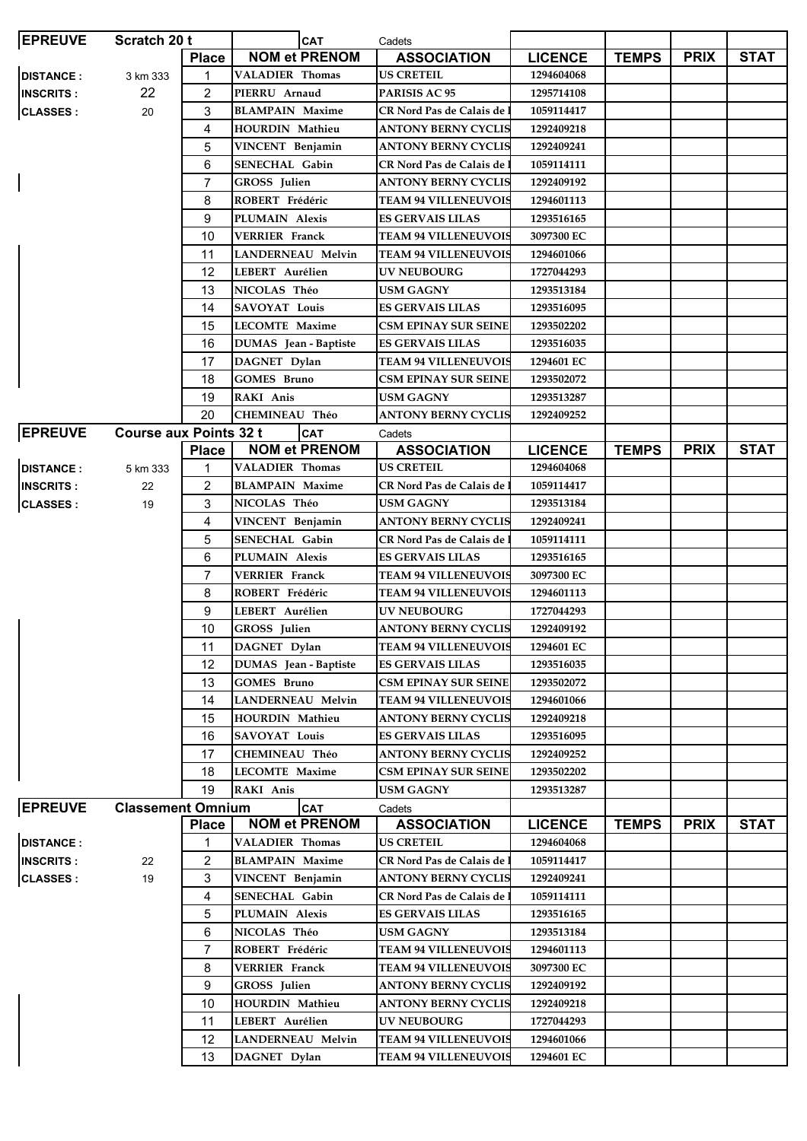| <b>EPREUVE</b>   | Scratch 20 t                  |                | <b>CAT</b>               | Cadets                            |                |              |             |             |
|------------------|-------------------------------|----------------|--------------------------|-----------------------------------|----------------|--------------|-------------|-------------|
|                  |                               | <b>Place</b>   | <b>NOM et PRENOM</b>     | <b>ASSOCIATION</b>                | <b>LICENCE</b> | <b>TEMPS</b> | <b>PRIX</b> | <b>STAT</b> |
| <b>DISTANCE:</b> | 3 km 333                      | 1              | <b>VALADIER Thomas</b>   | <b>US CRETEIL</b>                 | 1294604068     |              |             |             |
| <b>INSCRITS:</b> | 22                            | 2              | PIERRU Arnaud            | PARISIS AC 95                     | 1295714108     |              |             |             |
| <b>CLASSES:</b>  | 20                            | 3              | <b>BLAMPAIN Maxime</b>   | CR Nord Pas de Calais de          | 1059114417     |              |             |             |
|                  |                               | 4              | HOURDIN Mathieu          | <b>ANTONY BERNY CYCLIS</b>        | 1292409218     |              |             |             |
|                  |                               | 5              | VINCENT Benjamin         | <b>ANTONY BERNY CYCLIS</b>        | 1292409241     |              |             |             |
|                  |                               | 6              | <b>SENECHAL Gabin</b>    | CR Nord Pas de Calais de l        | 1059114111     |              |             |             |
|                  |                               | $\overline{7}$ | <b>GROSS</b> Julien      | <b>ANTONY BERNY CYCLIS</b>        | 1292409192     |              |             |             |
|                  |                               | 8              | ROBERT Frédéric          | <b>TEAM 94 VILLENEUVOIS</b>       | 1294601113     |              |             |             |
|                  |                               | 9              | PLUMAIN Alexis           | <b>ES GERVAIS LILAS</b>           | 1293516165     |              |             |             |
|                  |                               | 10             | <b>VERRIER Franck</b>    | <b>TEAM 94 VILLENEUVOIS</b>       | 3097300 EC     |              |             |             |
|                  |                               | 11             | <b>LANDERNEAU Melvin</b> | <b>TEAM 94 VILLENEUVOIS</b>       | 1294601066     |              |             |             |
|                  |                               | 12             | LEBERT Aurélien          | UV NEUBOURG                       | 1727044293     |              |             |             |
|                  |                               | 13             | NICOLAS Théo             | <b>USM GAGNY</b>                  | 1293513184     |              |             |             |
|                  |                               | 14             | <b>SAVOYAT Louis</b>     | <b>ES GERVAIS LILAS</b>           | 1293516095     |              |             |             |
|                  |                               | 15             | <b>LECOMTE Maxime</b>    | <b>CSM EPINAY SUR SEINE</b>       | 1293502202     |              |             |             |
|                  |                               | 16             | DUMAS Jean - Baptiste    | <b>ES GERVAIS LILAS</b>           | 1293516035     |              |             |             |
|                  |                               | 17             | DAGNET Dylan             | <b>TEAM 94 VILLENEUVOIS</b>       | 1294601 EC     |              |             |             |
|                  |                               |                |                          | <b>CSM EPINAY SUR SEINE</b>       |                |              |             |             |
|                  |                               | 18             | <b>GOMES Bruno</b>       |                                   | 1293502072     |              |             |             |
|                  |                               | 19             | RAKI Anis                | <b>USM GAGNY</b>                  | 1293513287     |              |             |             |
|                  |                               | 20             | CHEMINEAU Théo           | <b>ANTONY BERNY CYCLIS</b>        | 1292409252     |              |             |             |
| <b>EPREUVE</b>   | <b>Course aux Points 32 t</b> |                | CAT                      | Cadets                            |                |              |             |             |
|                  |                               | <b>Place</b>   | <b>NOM et PRENOM</b>     | <b>ASSOCIATION</b>                | <b>LICENCE</b> | <b>TEMPS</b> | <b>PRIX</b> | <b>STAT</b> |
| <b>DISTANCE:</b> | 5 km 333                      | 1              | <b>VALADIER Thomas</b>   | <b>US CRETEIL</b>                 | 1294604068     |              |             |             |
| <b>INSCRITS:</b> | 22                            | 2              | <b>BLAMPAIN Maxime</b>   | CR Nord Pas de Calais de          | 1059114417     |              |             |             |
| <b>CLASSES:</b>  | 19                            | 3              | NICOLAS Théo             | USM GAGNY                         | 1293513184     |              |             |             |
|                  |                               | 4              | VINCENT Benjamin         | <b>ANTONY BERNY CYCLIS</b>        | 1292409241     |              |             |             |
|                  |                               | 5              | <b>SENECHAL Gabin</b>    | <b>CR Nord Pas de Calais de 1</b> | 1059114111     |              |             |             |
|                  |                               | 6              | PLUMAIN Alexis           | <b>ES GERVAIS LILAS</b>           | 1293516165     |              |             |             |
|                  |                               | 7              | <b>VERRIER Franck</b>    | <b>TEAM 94 VILLENEUVOIS</b>       | 3097300 EC     |              |             |             |
|                  |                               | 8              | ROBERT Frédéric          | <b>TEAM 94 VILLENEUVOIS</b>       | 1294601113     |              |             |             |
|                  |                               | 9              | LEBERT Aurélien          | <b>UV NEUBOURG</b>                | 1727044293     |              |             |             |
|                  |                               | 10             | GROSS Julien             | <b>ANTONY BERNY CYCLIS</b>        | 1292409192     |              |             |             |
|                  |                               | 11             | DAGNET Dylan             | <b>TEAM 94 VILLENEUVOIS</b>       | 1294601 EC     |              |             |             |
|                  |                               | 12             | DUMAS Jean - Baptiste    | <b>ES GERVAIS LILAS</b>           | 1293516035     |              |             |             |
|                  |                               | 13             | <b>GOMES Bruno</b>       | <b>CSM EPINAY SUR SEINE</b>       | 1293502072     |              |             |             |
|                  |                               | 14             | <b>LANDERNEAU Melvin</b> | <b>TEAM 94 VILLENEUVOIS</b>       | 1294601066     |              |             |             |
|                  |                               | 15             | HOURDIN Mathieu          | <b>ANTONY BERNY CYCLIS</b>        | 1292409218     |              |             |             |
|                  |                               | 16             | <b>SAVOYAT Louis</b>     | <b>ES GERVAIS LILAS</b>           | 1293516095     |              |             |             |
|                  |                               | 17             | <b>CHEMINEAU Théo</b>    | <b>ANTONY BERNY CYCLIS</b>        | 1292409252     |              |             |             |
|                  |                               | 18             | <b>LECOMTE Maxime</b>    | <b>CSM EPINAY SUR SEINE</b>       | 1293502202     |              |             |             |
|                  |                               | 19             | RAKI Anis                | USM GAGNY                         | 1293513287     |              |             |             |
| <b>EPREUVE</b>   | <b>Classement Omnium</b>      |                | <b>CAT</b>               | Cadets                            |                |              |             |             |
|                  |                               | <b>Place</b>   | <b>NOM et PRENOM</b>     | <b>ASSOCIATION</b>                | <b>LICENCE</b> | <b>TEMPS</b> | <b>PRIX</b> | <b>STAT</b> |
| <b>DISTANCE:</b> |                               | 1              | <b>VALADIER Thomas</b>   | <b>US CRETEIL</b>                 | 1294604068     |              |             |             |
| <b>INSCRITS:</b> | 22                            | 2              | <b>BLAMPAIN Maxime</b>   | <b>CR Nord Pas de Calais de 1</b> | 1059114417     |              |             |             |
| <b>CLASSES:</b>  | 19                            | 3              | VINCENT Benjamin         | ANTONY BERNY CYCLIS               | 1292409241     |              |             |             |
|                  |                               | 4              | <b>SENECHAL Gabin</b>    | <b>CR Nord Pas de Calais de :</b> | 1059114111     |              |             |             |
|                  |                               | 5              | PLUMAIN Alexis           | <b>ES GERVAIS LILAS</b>           | 1293516165     |              |             |             |
|                  |                               | 6              | NICOLAS Théo             | <b>USM GAGNY</b>                  | 1293513184     |              |             |             |
|                  |                               | 7              | ROBERT Frédéric          | <b>TEAM 94 VILLENEUVOIS</b>       | 1294601113     |              |             |             |
|                  |                               | 8              | <b>VERRIER Franck</b>    | <b>TEAM 94 VILLENEUVOIS</b>       | 3097300 EC     |              |             |             |
|                  |                               | 9              | GROSS Julien             | ANTONY BERNY CYCLIS               | 1292409192     |              |             |             |
|                  |                               |                |                          |                                   |                |              |             |             |
|                  |                               | 10             | HOURDIN Mathieu          | <b>ANTONY BERNY CYCLIS</b>        | 1292409218     |              |             |             |
|                  |                               | 11             | LEBERT Aurélien          | <b>UV NEUBOURG</b>                | 1727044293     |              |             |             |
|                  |                               | 12             | <b>LANDERNEAU Melvin</b> | <b>TEAM 94 VILLENEUVOIS</b>       | 1294601066     |              |             |             |
|                  |                               | 13             | DAGNET Dylan             | <b>TEAM 94 VILLENEUVOIS</b>       | 1294601 EC     |              |             |             |